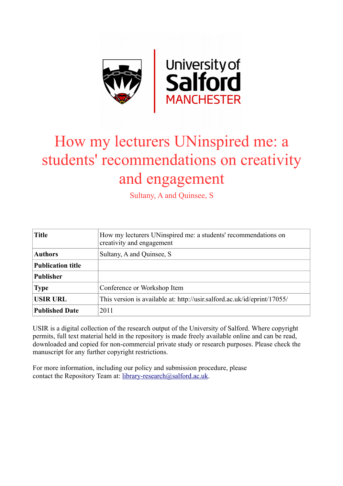

# How my lecturers UNinspired me: a students' recommendations on creativity and engagement

Sultany, A and Quinsee, S

| <b>Title</b>             | How my lecturers UNinspired me: a students' recommendations on<br>creativity and engagement |
|--------------------------|---------------------------------------------------------------------------------------------|
| <b>Authors</b>           | Sultany, A and Quinsee, S.                                                                  |
| <b>Publication title</b> |                                                                                             |
| <b>Publisher</b>         |                                                                                             |
| <b>Type</b>              | Conference or Workshop Item                                                                 |
| <b>USIR URL</b>          | This version is available at: http://usir.salford.ac.uk/id/eprint/17055/                    |
| <b>Published Date</b>    | 2011                                                                                        |

USIR is a digital collection of the research output of the University of Salford. Where copyright permits, full text material held in the repository is made freely available online and can be read, downloaded and copied for non-commercial private study or research purposes. Please check the manuscript for any further copyright restrictions.

For more information, including our policy and submission procedure, please contact the Repository Team at: [library-research@salford.ac.uk.](mailto:library-research@salford.ac.uk)